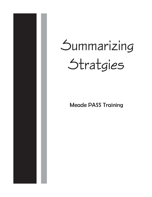

# **Summarizing Stratgies**

Meade PASS Training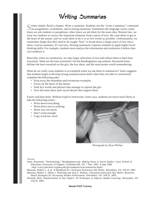# Writing Summaries

Seems simple. Read a chapter. Write a summary. Students see the "write a summary" command<br>on assignments, worksheets, and in testing situations. Sometimes the language varies; sometimes we ask students to paraphrase; other times we ask them for the main idea. Bottom line, we want our students to extract the important elements from a piece of text. We want them to get at the heart of the matter, and we want them to do it in as few words as possible. Unfortunately, we sometimes forget that they need to be taught "how" to break down a larger piece of text into a short, concise summary. It's not easy. Writing summaries requires students to apply higher-level thinking skills. For example, students must analyze the information and synthesize it before they can condense it.

Basically, when we summarize, we take larger selections of text and reduce them to their bare essentials. What are the bare essentials? On the ReadingQuest.org website, Raymond Jones defines the bare essentials as the gist, the key ideas, and the main points worth remembering.

What do we really want students to accomplish when we ask them to summarize? Jones suggests that students begin to develop strong summarization skills when they are able to consistently complete the following tasks:

- Strip away the redundant and extraneous examples
- Focus on the heart of the matter
- Seek key words and phrases that manage to capture the gist
- Save the main ideas and crucial details that support them

Easier said than done. Without explicit instruction, Jones says, students are much more likely to take the following routes:

- Write down everything
- Write down next to nothing
- Write way too much
- Don't write enough
- Copy word-for-word



Photograph by Ryan Phillips

#### Sources:

Jones, Raymond. "Summarizing." *ReadingQuest.org: Making Sense in Social Studies.* Curry School of Education, University of Virginia, Charlottesville, VA. 7 Nov. 2001. 9 June 2006 <http://curry.edschool.virginia.edu/go/readquest/strat/summarize.html>.

Marzano, Robert J., et al. *A Handbook for Classroom Instruction that Works.* Alexandria, VA: ASCD, 2001.

Marzano, Robert J., Debra J. Pickering and Jane E. Pollock. *Classroom Instruction that Works: Research-Based Strategies for Increasing Student Achievement.* Alexandria, VA: ASCD, 2001.

Wormeli, Rick. *Summarization in Any Subject: 50 Techniques to Improve Student Learning. Alexandria, VA:* ASCD, 2005.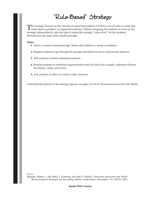### "Rule-Based" Strategy

The strategy focuses on the concept of requiring students to follow a set of rules or steps that **L** leads them to produce an organized summary. Before assigning the students to work on the strategy independently, take the time to make the strategy "come alive" for the students. Demonstrate the steps with a model passage.

#### Steps:

- **1.** Select a content-related passage. Read with students or assign to students.
- **2.** Require students to go through the passage and delete trivial or unnecessary material.
- **3.** Tell students to delete redundant material.
- **4.** Remind students to substitute superordinate terms for lists (for example, substitute flowers for daisies, tulips, and roses).
- **5.** Ask students to select or create a topic sentence.

A detailed description of the strategy appears on pages 32-34 of *Classroom Instruction that Works*.

Source:

Marzano, Robert J., and Debra J. Pickering, and Jane E. Pollock. *Classroom Instruction that Works: `Research-Based Strategies for Increasing Student Achievement.* Alexandria, VA: ASCD, 2001.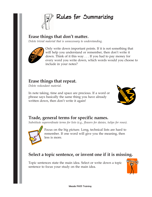

### **Erase things that don't matter.**

*Delete trivial material that is unnecessary to understanding.*



Only write down important points. If it is not something that will help you understand or remember, then don't write it down. Think of it this way . . . If you had to pay money for every word you write down, which words would you choose to include in your notes?

### **Erase things that repeat.**

*Delete redundant material.*

In note taking, time and space are precious. If a word or phrase says basically the same thing you have already written down, then don't write it again!



### **Trade, general terms for specific names.**

*Substitute superordinate terms for lists (e.g., flowers for daisies, tulips for roses).*



Focus on the big picture. Long, technical lists are hard to remember. If one word will give you the meaning, then less is more.

### **Select a topic sentence, or invent one if it is missing.**

Topic sentences state the main idea. Select or write down a topic sentence to focus your study on the main idea.

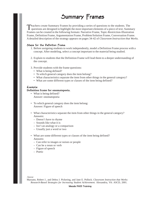### Summary Frames

Teachers create Summary Frames by providing a series of questions to the students. The questions are designed to highlight the most important elements of a piece of text. Summary Frames can be created in the following formats: Narrative Frame, Topic-Restriction-Illustration Frame, Definition Frame, Argumentation Frame, Problem/Solution Frame, Conversation Frame. A detailed description of the strategy appears on pages 34-42 of *Classroom Instruction that Works.*

### Steps for the Definition Frame:

- 1. Before assigning students to work independently, model a Definition Frame process with a concept. After modeling, select a concept important to the material being studied.
- 2. Explain to students that the Definition Frame will lead them to a deeper understanding of the concept.
- 3. Provide students with the frame questions:
	- What is being defined?
	- To which general category does the item belong?
	- What characteristics separate the item from other things in the general category?
	- What are some different types or classes of the item being defined?

#### $Example:$

### **Definition frame for onomatopoeia.**

- What is being defined? Answer: onomatopoeia
- To which general category does the item belong: Answer: Figure of speech
- What characteristics separate the item from other things in the general category? Answers:
	- Doesn't have to rhyme
	- Sounds like what it is
	- Isn't an analogy or a comparison
	- Usually just a word or two
- What are some different types or classes of the item being defined? Answers:
	- Can refer to images or noises or people
	- Can be a noun or verb
	- Figure of speech
	- Poetic

Source:

Marzano, Robert J., and Debra J. Pickering, and Jane E. Pollock. *Classroom Instruction that Works: Research-Based Strategies for Increasing Student Achievement.* Alexandria, VA: ASCD, 2001.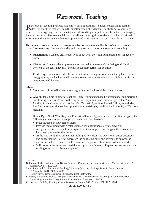### Reciprocal Teaching

Reciprocal Teaching provides students with an opportunity to discuss texts and to further develop the skills that will help them better comprehend texts. The strategy is especially effective for struggling readers when they are allowed to participate at levels that are challenging but not frustrating. The extended discussion allows the struggling students to gather additional information that they may not have comprehended while reading the text in a traditional manner.

Reciprocal Teaching promotes comprehension by focusing on the following skill areas:

- **Summarizing:** Students identify and condense most important aspects of a reading.
- **Questioning:** Students create questions about what they don't understand or still need to know.
- **Clarifying:** Students develop statements that make sense out of confusing or difficult portions of the text. They may explain vocabulary terms, for example.
- **Predicting:** Students consider the information (including information actually listed in the text, graphics, and background knowledge) to make a guess about what might occur in the next portion of the text.

#### Steps:

- **1.** Model each of the skill areas before beginning the Reciprocal Teaching process.
- **2.** Give students time to practice each skill area. Students need to be proficient at summarizing, questioning, clarifying, and predicting before they embark on this strategy. In *Teaching Reading in the Content Areas: If Not Me, Then Who?,* authors Rachel Billmeyer and Mary Lee Barton suggest that students practice summarizing by retelling book, movie, or TV show highlights.
- **3.** Donna Dyer, North West Regional Education Service Agency in North Carolina, suggests the following process for using reciprocal teaching in the classroom:
	- Place students in four-person teams.
	- Provide each student with a role: summarizer, questioner, clarifier, predictor.
	- Assign students to read a few paragraphs of the assigned text. Suggest they take notes to help them prepare for their role.
	- At the stop point, the Summarizer highlights key ideas; the Questioner poses questions and concerns; the Clarifier addresses the confusing parts and attempts to answer the questions that were posed; the Predictor offers guesses about what will come next.
	- Shift roles in the group and read the next portion of the text. Repeat the process until the reading selection has been completed.

#### Sources

- Billmeyer, Rachel and Mary Lee Barton. *Teaching Reading in the Content Areas: If Not Me, Then Who?* Aurora, CO: McREL, 1998.
- Jones, Raymond C. "Reciprocal Teaching." *ReadingQuest.org: Making Sense in Social Studies.* 7 November 2001. 24 June 2005

<http://curry.edschool.virginia.edu/go/readquest/strat/rt.html>.

Palinscar, A.S. and A. Brown. "Reciprocal Teaching and Comprehension-Fostering and Comprehension-Monitoring Activities." *Cognition and Instruction.* 2 (1984): 117-175.

Zwiers, Jeff. *Building Reading Comprehension in Grades 7-12.* Newark, DE: IRA, 2004.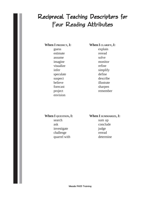### Reciprocal Teaching Descriptors for Four Reading Attributes

### When I PREDICT, I: When I CLARIFY, I:

guess explain estimate reread assume solve imagine monitor visualize refine infer simplify speculate define suspect describe believe illustrate forecast sharpen project remember envision

### When I QUESTION, I: When I SUMMARIZE, I:

search sum up ask conclude investigate iudge challenge reread quarrel with determine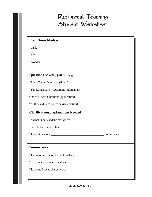### Reciprocal Teaching Student Worksheet

### **Predictions Made –**

I think

I bet

I wonder

### **Questions Asked (QAR Strategy)**

"Right There" Questions (literal)

"Think and Search" Questions (inferential)

"On My Own" Questions (application)

"Author and You" Questions (interaction)

### **Clarifications/Explanations Needed –**

I did not understand the part where

I need to know more about

The section about \_\_\_\_\_\_\_\_\_\_\_\_\_\_\_\_\_\_\_\_\_\_\_\_\_\_\_\_\_\_\_\_\_\_\_\_ is confusing.

### **Summaries –**

The important ideas in what I read are:

I can sum up the selection this way:

The overall ideas shared were: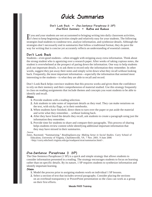### Quick Summaries

### Don't Look Back • One-Sentence Paraphrase (1 SP) One-Word Summary • Refine and Reduce

If you and your students are not accustomed to bringing writing into daily classroom activities, it's best to keep beginning activities simple and relatively easy for your students. The following it's best to keep beginning activities simple and relatively easy for your students. The following strategies lead students to condense text, analyze information, and synthesize details. Although the strategies don't necessarily end in summaries that follow a traditional format, they do pave the way for writing that is concise yet accurately reflects an understanding of essential content.

### Don't Look Back

Students—even good students—often struggle with stripping away extra information. Think about the strong student who is agonizing over a research paper. After weeks of taking copious notes, the student is overwhelmed at the prospect of paring down the information. One way to help students pick out important details, is to ask them to record only the information they remember. In other words, suggest they put away their notes and simply write down what they recall without looking back. Frequently, the most important information—especially the information that seemed most interesting to the students—is what they are able to recall and record.

Don't Look Back helps convince students that this process works and gives them the confidence to rely on their memory and their comprehension of material studied. Use this strategy frequently in class on reading assignments that include themes and concepts you want students to be able to identify and recall.

#### Steps:

- **1.** Provide students with a reading selection.
- **2.** Ask students to take notes of important details as they read. They can make notations on the text, with sticky flags, or in their notebooks.
- **3.** When students have finished, direct them to turn over the paper or put aside the material and write what they remember. . .without looking back.
- **4.** After they have listed the details they recall, ask students to create a paragraph using just the information they remember.
- **5.** Provide time for students to share and compare their paragraphs. This process of sharing helps students review content while identifying additional important information that they may have missed in their summaries.

#### Source:

Jones, Raymond. "Summarizing." *ReadingQuest.org: Making Sense in Social Studies.* Curry School of Education, University of Virginia, Charlottesville, VA. 7 Nov. 2001. 9 June 2006 <http://curry.edschool.virginia.edu/go/readquest/strat/summarize.html>.

### $One-$ Sentence Paraphrase (1 SP)

The One-Sentence Paraphrase (1 SP) is a quick and simple strategy that allows students to consider information presented in a reading. The strategy encourages students to focus on learning rather than on specific details. By its nature, 1 SP requires students to synthesize information and identify important learning.

### Steps:

- **1.** Model the process prior to assigning students work on individual 1 SP lessons.
- **2.** Select a section of text that includes several paragraphs. Consider placing the sections on an overhead transparency or PowerPoint presentation so the class can work as a group on their first efforts.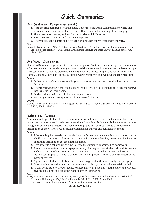### $Quick$  Summaries

### One-Sentence Paraphrase (cont.)

- **3.** Read the first paragraph with the class. Cover the paragraph. Ask students to write one sentence—and only one sentence—that reflects their understanding of the paragraph.
- **4.** Share several sentences, looking for similarities and differences.
- **5.** Read the next paragraph and continue the process.
- **6.** After students feel comfortable with the process, have them work independently.

#### Source:

Lawwill, Kenneth Stuart. "Using Writing-to-Learn Strategies: Promoting Peer Collaboration among High School Science Teachers." Diss. Virginia Polytechnic Institute and State University, Blacksburg, VA, 1999, 29-30.

### One-Word Summaries

One-Word Summaries get students in the habit of picking out important concepts and main ideas. After reading a lesson, students suggest one word that most clearly summarizes the lesson's topic. Rick Wormeli says that the word choice is **not** what leads to learning in one-word summaries. Rather, student rationale for choosing certain words reinforces and even expands their learning. Steps:

- **1.** Following a day's lesson (or reading), ask students to write one word that best summarizes the topic.
- **2.** After identifying the word, each student should write a brief explanation (a sentence or two) that explains the word choice.
- **3.** Students share their word choices and explanations.
- **4.** Encourage students to support or refute the word choices.

#### Source:

Wormeli, Rick. *Summarization in Any Subject: 50 Techniques to Improve Student Learning. Alexandria, VA:* ASCD, 2005, 122-123.

### Refine and Reduce

Another way to get students to extract essential information is to decrease the amount of space you allow students to use in order to convey the information. Refine and Reduce allows students to begin by condensing material into several paragraphs but requires them to pare down the information as they rewrite. As a result, students must analyze and synthesize content.

### Steps:

- **1.** After reading the material or completing a day's lesson or even a unit, ask students to write a half-page summary explaining what they've learned or what they consider to be the most important information covered in the material.
- **2.** Give students a set amount of time to write the summary or assign it as homework.
- **3.** Ask student to review their half-page summary. As they review, students should Refine and Reduce. Direct students to write two paragraphs. Make sure the students understand that the two paragraphs still need to contain the most important information or the heart of the material covered.
- **4.** Again, direct students to Refine and Reduce. Suggest that they write only one paragraph.
- **5.** Direct students to write one concise sentence that clearly conveys the material studied.
- **6.** At any point, stop to allow students to share material. Especially at the end of the process, give students time to discuss their one sentence summaries.

Source:

Jones, Raymond. "Summarizing." *ReadingQuest.org: Making Sense in Social Studies.* Curry School of Education, University of Virginia, Charlottesville, VA. 7 Nov. 2001. 9 June 2006 <http://curry.edschool.virginia.edu/go/readquest/strat/summarize.html>.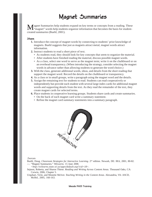### Magnet Summaries

Tagnet Summaries help students expand on key terms or concepts from a reading. These  $\mathbf{L}$ "magnet" words help students organize information that becomes the basis for studentcreated summaries (Buehl, 2001).

#### Steps:

- **1.** Introduce the concept of magnet words by connecting to students' prior knowledge of magnets. Buehl suggests that just as magnets attract metal, magnet words attract information.
- **2.** Instruct students to read a short piece of text.
	- As students read, they should look for key concepts that seem to organize the material.
	- After students have finished reading the material, discuss possible magnet words.
	- As a class, select one word to serve as the magnet term; write it on the chalkboard or on an overhead transparency. (When introducing the strategy, consider selecting the magnet words in advance rather than allowing students to generate the word choice.)
- **3.** With the class, generate additional words, ideas, and details from the short reading that support the magnet word. Record the details on the chalkboard or transparency.
- **4.** As a class or in small groups, write a paragraph using the magnet word and the details.
- **5.** Assign the remaining text for students to read. Students can read cooperatively or independently but provide each student with several large index cards for additional magnet words and supporting details from the text. As they read the remainder of the text, they create magnet cards for selected terms.
- **6.** Place students in cooperative learning groups. Students share cards and create summaries.
	- On the back of each magnet card write a summary statement.
	- Refine the magnet card summary statements into a summary paragraph.



#### Sources:

Buehl, Doug. *Classroom Strategies for Interactive Learning.* 2nd edition. Newark, DE: IRA, 2001, 80-82. ---. "Magnet Summaries." *WiLearns.* 15 June 2006

*<http://wilearns.state.wi.us/apps/default.asp?cid=18>.*

Sejnost, Roberta, and Sharon Thiese. *Reading and Writing Across Content Areas.* Thousand Oaks, CA: Corwin, 2006, Chapter 5.

Urquhart, Vicki, and Monette McIver. *Teaching Writing in the Content Areas.* Alexandria, VA: ASCD, McRel, 2005, 160-163.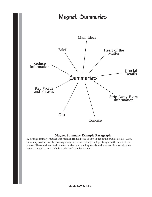### Magnet Summaries



### **Magnet Summary Example Paragraph**

A strong summary reduces information from a piece of text to get at the crucial details. Good summary writers are able to strip away the extra verbiage and go straight to the heart of the matter. These writers retain the main ideas and the key words and phrases. As a result, they record the gist of an article in a brief and concise manner.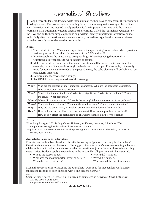### Journalists' Questions

Long before students sit down to write their summaries, they have to categorize the information<br>they've read. The process can be daunting for novice summary writers—regardless of their ages. One tried-and-true method to help students isolate important information is the strategy journalists have traditionally used to organize their writing. Called the Journalists' Questions or the 5 Ws and an H, these simple questions help writers identify important information about a topic. Only after the questions have been answered, can writers organize their news stories or in the case of your students—their summaries.

#### Steps:

- **1.** Teach students the 5 Ws and an H questions. (See questioning frame below which provides various question forms that address each of the 5 Ws and an H.)
- **2.** Practice applying the questions to group readings. When first using the Journalists' Questions, allow students to work in pairs or groups.
- **3.** Make sure students understand that not all questions will be answered in an article. For example, some of the questions might be irrelevant to the topic. For example, if the study topic focuses on weather trends of the past 10 years, the Who element will probably not be particularly important.
- **4.** Review student answers and findings.
- **5.** See GIST for a writing extension of this strategy.

| Who?  | Who are the primary or most important characters? Who are the secondary characters?         |
|-------|---------------------------------------------------------------------------------------------|
|       | Who participated? Who is affected?                                                          |
| What? | What is the topic of the lesson? What is its significance? What is the problem? What are    |
|       | the issues? What happened?                                                                  |
|       | Where? Where did the event occur? Where is the setting? Where is the source of the problem? |
| When? | When did the event occur? When did the problem begin? When is it most important?            |
| Why?  | Why did the event, issue, or problem occur? Why did it develop the way it did?              |
| How?  | How is the lesson, problem, or issue important? How can the problem be resolved?            |
|       | How does it affect the participants or characters identified in the Who question?           |

#### Sources:

"Prewriting Strategies." *KU Writing Center.* University of Kansas, Lawrence, KS. 6 June 2006 <http://www.writing.ku.edu/students/docs/prewriting.shtml>.

 Urquhart, Vicki, and Monette McIver. *Teaching Writing in the Content Areas.* Alexandria, VA: ASCD, McRel, 2005, 82-84.

### Journalists' Questions Adaptation:

Educator and author Traci Gardner offers the following suggestions for using the Journalists' Questions in content area classrooms. She suggests that after a day's lesson (a reading, a lecture, a lab), an instructor asks students to consider the questions a journalist would ask when writing news stories. Students apply the questions to the lesson. Not all questions will be answered.

- Who is the lesson about? Where did it happen?
- 
- What was the most important event or detail? Why did it happen?
- 
- 
- When did the event occur? What caused the event to occur?

Model the process prior to assigning the Journalists' Questions for independent work. Direct students to respond to each question with a one-sentence answer.

Source:

Gardner, Traci. "Traci's 16<sup>th</sup> List of Ten: Ten Reading Comprehension Activities." *Traci's Lists of Ten.* 12 June 2005. 8 June 2006

<http://tengrrl.com/tens/016.shtml>.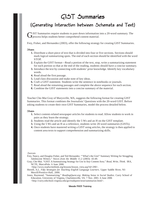### $GIST$  Summaries

### (Generating Interaction between Schemata and Text)

IST Summaries require students to pare down information into a 20-word summary. The  $\mathbf{J}$  process helps students better comprehend content material.

Frey, Fisher, and Hernandez (2003), offer the following strategy for creating GIST Summaries.

### Steps:

- **1.** Distribute a short piece of text that is divided into four or five sections. Sections should mark logical summarizing spots. The end of each section should be identified with the word STOP.
- **2.** Explain the GIST format—Read a portion of the text, stop, write a summarizing statement for each portion so that at the end of the reading, students should have a concise summary.
- **3.** Introduce the text by connecting with students' prior knowledge. Identify key vocabulary words.
- **4.** Read aloud the first passage.
- **5.** Lead class discussion and make note of key ideas.
- **6.** Craft a GIST statement. Students write the sentence in notebooks or journals.
- **7.** Read aloud the remaining passages and complete the above sequence for each section.
- **8.** Combine the GIST statements into a concise summary of the material.

Teacher Che-Mai Gray of Marysville, WA, suggests the following format for creating GIST Summaries. This format combines the Journalists' Questions with the 20-word GIST. Before asking students to create their own GIST Summaries, model the process detailed below.

#### Steps:

- **1.** Select content-related newspaper articles for students to read. Allow students to work in pairs as they learn the strategy.
- **2.** Students read the article and identify the 5 Ws and an H on the GIST template.
- **3.** Using the 5 Ws and an H as a reference, students write 20-word summaries (GISTs).
- **4.** Once students have mastered writing a GIST using articles, the strategy is then applied to content area texts to support comprehension and summarizing skills.

#### Sources:

- Frey, Nancy, and Douglas Fisher, and Ted Hernandez. "'What's the Gist?' Summary Writing for Struggling Adolescent Writers." *Voices from the Middle* 11.2 (2003): 43-49.
- Gray, Che-Mai. "GIST: A Summarizing Strategy for Use in Any Content Area." *Read, Write, Think.* IRA, NCTE, MarcoPolo. 6 June 2006

<http://www.readwritethink.org/lessons/lesson\_view.asp?id=290>.

- Herrell, A.L. *Fifty Strategies for Teaching English Language Learners.* Upper Saddle River, NJ: Merrill/Prentice-Hall, 2000.
- Jones, Raymond. "Summarizing." *ReadingQuest.org: Making Sense in Social Studies.* Curry School of Education, University of Virginia, Charlottesville, VA. 7 Nov. 2001. 6 June 2006 <http://curry.edschool.virginia.edu/go/readquest/strat/summarize.html>.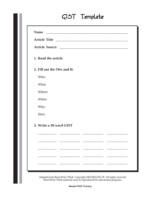## $GIST$  Template

| 1. Read the article.<br>2. Fill out the 5Ws and H.<br>Who:<br>What:<br>Where:<br>When:<br>Why:<br>How:<br>3. Write a 20-word GIST<br>_________________________<br>______________<br>$\begin{tabular}{cccccc} \multicolumn{2}{c}{} & \multicolumn{2}{c}{} & \multicolumn{2}{c}{} & \multicolumn{2}{c}{} & \multicolumn{2}{c}{} & \multicolumn{2}{c}{} & \multicolumn{2}{c}{} & \multicolumn{2}{c}{} & \multicolumn{2}{c}{} & \multicolumn{2}{c}{} & \multicolumn{2}{c}{} & \multicolumn{2}{c}{} & \multicolumn{2}{c}{} & \multicolumn{2}{c}{} & \multicolumn{2}{c}{} & \multicolumn{2}{c}{} & \multicolumn{2}{c}{} & \multicolumn{2}{c}{} & \multicolumn{2}{c}{} & \mult$ | <b>Name</b> |  |  |  |  |  |
|--------------------------------------------------------------------------------------------------------------------------------------------------------------------------------------------------------------------------------------------------------------------------------------------------------------------------------------------------------------------------------------------------------------------------------------------------------------------------------------------------------------------------------------------------------------------------------------------------------------------------------------------------------------------------|-------------|--|--|--|--|--|
|                                                                                                                                                                                                                                                                                                                                                                                                                                                                                                                                                                                                                                                                          |             |  |  |  |  |  |
|                                                                                                                                                                                                                                                                                                                                                                                                                                                                                                                                                                                                                                                                          |             |  |  |  |  |  |
|                                                                                                                                                                                                                                                                                                                                                                                                                                                                                                                                                                                                                                                                          |             |  |  |  |  |  |
|                                                                                                                                                                                                                                                                                                                                                                                                                                                                                                                                                                                                                                                                          |             |  |  |  |  |  |
|                                                                                                                                                                                                                                                                                                                                                                                                                                                                                                                                                                                                                                                                          |             |  |  |  |  |  |
|                                                                                                                                                                                                                                                                                                                                                                                                                                                                                                                                                                                                                                                                          |             |  |  |  |  |  |
|                                                                                                                                                                                                                                                                                                                                                                                                                                                                                                                                                                                                                                                                          |             |  |  |  |  |  |
|                                                                                                                                                                                                                                                                                                                                                                                                                                                                                                                                                                                                                                                                          |             |  |  |  |  |  |
|                                                                                                                                                                                                                                                                                                                                                                                                                                                                                                                                                                                                                                                                          |             |  |  |  |  |  |
|                                                                                                                                                                                                                                                                                                                                                                                                                                                                                                                                                                                                                                                                          |             |  |  |  |  |  |
|                                                                                                                                                                                                                                                                                                                                                                                                                                                                                                                                                                                                                                                                          |             |  |  |  |  |  |
|                                                                                                                                                                                                                                                                                                                                                                                                                                                                                                                                                                                                                                                                          |             |  |  |  |  |  |
|                                                                                                                                                                                                                                                                                                                                                                                                                                                                                                                                                                                                                                                                          |             |  |  |  |  |  |
|                                                                                                                                                                                                                                                                                                                                                                                                                                                                                                                                                                                                                                                                          |             |  |  |  |  |  |
|                                                                                                                                                                                                                                                                                                                                                                                                                                                                                                                                                                                                                                                                          |             |  |  |  |  |  |
|                                                                                                                                                                                                                                                                                                                                                                                                                                                                                                                                                                                                                                                                          |             |  |  |  |  |  |

Adapted from *Read Write Think*. Copyright 2004 IRA/NCTE. All rights reserved. *Read Write Think* materials may be reproduced for educational purposes.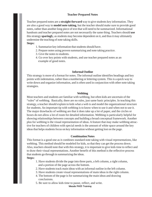### **Teacher Prepared Notes**

Teacher prepared notes are a **straight-forward** way to give students key information. They are also a good way to **model note taking**, but the teacher should make sure to provide good notes, rather than another long piece of text that will need to be summarized. Informational handouts and teacher prepared notes are not necessarily the same thing. Teachers should **use** this strategy **sparingl**y, as students may become dependent on it, and thus it may ultimately undermine the teaching of note taking skills.

#### **Steps:**

- 1. Summarize key information that students should have.
- 2. Prepare notes using proven summarizing and note taking practice.
- 3. Give the notes to students.
- 4. Go over key points with students, and use teacher prepared notes as an example of good notes.

### **Informal Outline**

This strategy is more of a format for notes. The informal outline identifies headings and key points with indentation, rather than a numbering or lettering system. This is a quick way to write down and organize information, and is often used in conjunction with other note taking strategies.

### **Webbing**

Most teachers and students are familiar with webbing, but often kids are uncertain of the "rules" of webbing. Basically, there are no rules, just same basic principles. In teaching this strategy, a teacher should explain to kids what a web is and model the organizational structure for students. An important tip with webbing is to know when to use it and when not to use it. The major drawbacks of webbing are that it does take up a lot of paper, and the circles or boxes do not allow a lot of room for detailed information. Webbing is particularly helpful for showing relationships between concepts and building a broad conceptual framework. Another plus for webbing is the visual representation of ideas. A feature that may make webbing attractive for teachers of children with special needs is the amount of white space around the key ideas that helps students focus on key information without getting lost on the page.

### **Combination Notes**

This format is a good one as it combines standard note taking with visual representations, like webbing. This method should be modeled for kids, so that they can get the process down. Also, teachers should note that with this strategy, it is important to give kids time to reflect and to draw their visual representations. Another benefit of this method is the reflective process that students go through in summarizing the ideas.

### **Steps:**

- 1. Have students divide the page into three parts, a left column, a right column, and a portion of the page across the bottom.
- 2. Have students track main ideas with an informal outline in the left column.
- 3. Have students create visual representations of main ideas in the right column.
- 4. The bottom of the page is for summarizing the main ideas and drawing conclusions.
- 5. Be sure to allow kids time to pause, reflect, and write.

Meade PASS Training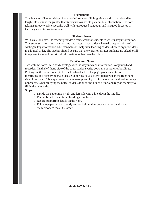### **Highlighting**

This is a way of having kids pick out key information. Highlighting is a skill that should be taught. Do not take for granted that students know how to pick out key information. This note taking strategy works especially well with reproduced handouts, and is a good first step in teaching students how to summarize.

### **Skeleton Notes**

With skeleton notes, the teacher provides a framework for students to write in key information. This strategy differs from teacher prepared notes in that students have the responsibility of writing in key information. Skeleton notes are helpful in teaching students how to organize ideas in a logical order. The teacher should be sure that the words or phrases students are asked to fill in represent some of the critical information, rather than the fillers.

### **Two-Column Notes**

Two-column notes link a study strategy with the way in which information is organized and recorded. On the left-hand side of the page, students write down major topics or headings. Picking out the broad concepts for the left-hand side of the page gives students practice in identifying and classifying main ideas. Supporting details are written down on the right-hand side of the page. This step allows students an opportunity to think about the details of a concept or process. When studying the notes, students look at one side at a time, and rely on memory to fill in the other side.

### **Steps:**

- 1. Divide the paper into a right and left side with a line down the middle.
- 2. Record broad concepts or "headings" on the left.
- 3. Record supporting details on the right.
- 4. Fold the paper in half to study and read either the concepts or the details, and use memory to recall the other.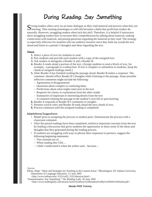### During Reading: Say Something

 $\Gamma$  trong readers often carry on an inner dialogue as they read material and process what they are  $\Box$  learning. This running monologue or self-talk becomes a habit that proficient readers do naturally. However, struggling readers often lack this skill. Therefore, it is helpful if instructors show struggling readers how to increase their comprehension by talking about material, making connections with material, and posing questions regarding the material as they read. The strategy is especially effective for students who are auditory learners since they both say (read) the text aloud and listen to a partner's thoughts and ideas regarding the text.

#### Steps:

- **1.** Select a piece of text for students to read.
- **2.** Pair students and provide each student with a copy of the assigned text.
- **3.** Ask readers to designate a Reader A and a Reader B.
- **4.** Reader A reads aloud a portion of the text. (Assign students to read a block of text, for example, a paragraph or a subsection. If text is complex or unfamiliar to students, keep the chunk of assigned readings small.)
- **5.** After Reader A has finished reading the passage aloud, Reader B makes a response. The comment should reflect Reader B's thoughts while listening to the passage. Some possible reflective comments might include the following:
	- Agreements or disagreements
	- Questions about complex or confusing ideas
	- Predictions about what might come next in the text
	- Requests for clarity or explanation from the other reader
	- Summaries of important or interesting details from the text
	- A comment relating the passage to the student's own life or past learning
- **6.** Reader A responds to Reader B's comments or insights.
- **7.** Partners switch roles and Reader B reads aloud the next chunk of text.
- **8.** Process continues until the assigned reading is completed.

#### Adaptations/Suggestions:

- Model prior to assigning the process to student pairs. Demonstrate the process with a classroom volunteer.
- After the paired readings have been completed, reinforce important concepts from the text by leading a discussion that gives students the opportunity to share some of the ideas and thoughts that they generated during the reading process.
- If students are struggling with ways to phrase their responses to partners, suggest the following beginning statements:
	- This reminds me of…
	- When reading this I felt…
	- I didn't understand it when the author said…because…

Sources

Elkins, Hope. "Ideas and Strategies for Teaching in the Content Areas." Bloomington, IN: Indiana University, Department of Language Education. 21 June 2005

<http://www.indiana.edu/~l525/x425\_l525/ideastrat.html>.

"Summarization: Say Something." *The Reading Lady.* 20 June 2005

<http://www.readinglady.com/mosaic/tools/Synthesis%20handout%20by%20Deb%20Smith.pdf>.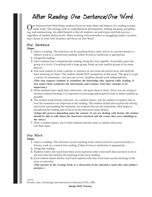### After Reading: One Sentence/One Word

One Sentence/One Word helps students focus on main ideas and themes of a reading or topic under study. The strategy aids in comprehension development, finding meaning, paraphrasing, and summarizing. An added benefit is that all students can participate and find success regardless of student ability levels. When working with nonreaders or struggling readers, teachers may choose to omit One Sentence and focus on One Word.

### One Sentence

### Steps:

- **1.** Select a reading. The selection can be anything from a short article to a picture book to a literary work to a content area reading. Either fiction or nonfiction is appropriate.
- **2.** Assign the reading.
- **3.** After students have completed the reading, bring the class together. If possible, place the group in a circle. If working with a large group, break up into smaller groups of no more than six.
- **4.** Ask each student to mark a phrase or sentence or two from the article/story that held the most meaning for them. The student should NOT paraphrase at this point. The goal is to get a variety of statements—not just one or two. Students should work independently. **(This step requires students to assimilate the knowledge they aquired while reading. It also makes them synthesize the information and evaluate what they consider to be important.)**
- **5.** When students have made their selections, call upon them to share. Since you are trying to monitor student learning, it is important to encourage participation from as many students as possible.
- **6.** The student reads his/her selection. As a student shares, ask the student to explain why or how the statement was important to the reading. The student should also explain the setting and action surrounding the statement. As students discuss the statements, they begin to paraphrase the reading and to focus on the selections main idea(s).

**(Adapt this process depending upon the content. If you are dealing with fiction, the student should be able to talk about the characters involved and the events that were unfolding in the story.)**

**7.** After a student shares, ask if other students had the same or similar selections. Get their input.

### One  $Word$

Steps:

- **1.** Select a reading. The selection can be anything from a short article to a picture book to a literary work to a content area reading. Either fiction or nonfiction is appropriate.
- **2.** Assign the reading.
- **3.** Students select one word from their own experience (the word itself does not have to be in the text) that best defines the meaning of the story/reading.
- **4.** Each student shares his/her word and explains why that word sums up the meaning of the story or selection.

**(This portion of the strategy leads to a discussion of the selection's main idea and author's purpose.)**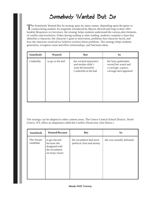### Somebody Wanted But So

The Somebody Wanted But So strategy goes by many names, depending upon the genre or content being studied. As originally introduced by Macon, Bewell and Vogt in their 1991 booklet *Responses to Literature,* the strategy helps students understand the various plot elements of conflict and resolution. Either during reading or after reading, students complete a chart that identifies a character, the character's goal or motivation, problems that character faced, and how the character resolved (or failed to resolve) those problems. The strategy helps students generalize, recognize cause and effect relationships, and find main ideas.

| Somebody   | <b>Wanted</b>     | <b>But</b>                                                                                  | So                                                                                        |
|------------|-------------------|---------------------------------------------------------------------------------------------|-------------------------------------------------------------------------------------------|
| Cinderella | to go to the ball | her wicked stepsisters<br>and mother didn't<br>want the beautiful<br>Cinderella at the ball | her fairy godmother<br>waved her wand and<br>a carriage, a gown,<br>carriage men appeared |

The strategy can be adapted to other content areas. The Greece Central School District, North Greece, NY, offers an adaptation called the Conflict Dissection. (See below.)

| Somebody                | <b>Wanted/Because</b>                                                              | <b>But</b>                                          | S <sub>o</sub>            |
|-------------------------|------------------------------------------------------------------------------------|-----------------------------------------------------|---------------------------|
| The Senate<br>candidate | to get elected<br>because she<br>disagreed with<br>the incumbent<br>on many issues | the incumbent had more<br>political clout and money | she was soundly defeated. |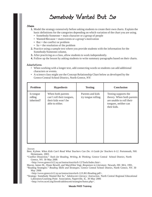### Somebody Wanted But So

#### Steps:

- **1.** Model the strategy extensively before asking students to create their own charts. Explain the basic definitions for the categories depending on which variation of the chart you are using.
	- Somebody/Someone = main character or a group of people
	- Wanted/Because = main events or a group's motivation
	- $\bullet$  But = the conflict or problem
	- So  $=$  the resolution of the problem
- **2.** Practice using a sample text where you provide students with the information for the Somebody/Someone column.
- **3.** After practicing as a class, allow students to work independently.
- **4.** Follow up the lesson by asking students to write summary paragraphs based on their charts.

#### Adaptations:

- When working with a longer text, add connecting words so students can add additional characters or events.
- A science class might use the Concept Relationship Chart below as developed by the Greece Central School District, North Greece, NY:

| Problem                            | <b>Hypothesis</b>                                                                        | <b>Testing</b>                          | <b>Conclusion</b>                                                                                                    |
|------------------------------------|------------------------------------------------------------------------------------------|-----------------------------------------|----------------------------------------------------------------------------------------------------------------------|
| Is tongue<br>rolling<br>inherited? | When both parents<br>can't roll their tongues,<br>their kids won't be<br>able to either. | Parents and kids<br>try tongue rolling. | Testing supports the<br>theory. When both parents<br>are unable to roll their<br>tongues, neither can<br>their kids. |

#### Sources:

- Beer, Kylene. *When Kids Can't Read What Teachers Can Do: A Guide for Teachers 6-12.* Portsmouth, NH: Heinemann, 2003.
- "Conflict Dissection." *Tools for Reading, Writing, & Thinking.* Greece Central School District, North Greece, NY. 30 May 2006
	- <http://www.greece.k12.ny.us/instruction/ela/6-12/Tools/Index.htm>.
- Macon, James M., Diane Bewell, and MaryEllen Vogt. *Responses to Literature.* Newark, DE: IRA, 1991.
- "Reading Strategies." *Reading Skills and Strategies.* Greece Central School District, North Greece, NY. 30 May 2006
	- <http://www.greece.k12.ny.us/instruction/ela/6-12/LRG/Reading.pdf>.
- "Strategy: Somebody Wanted But So." *Adolescent Literacy: Instruction.* North Central Regional Educational Laboratory/Learning Point Association, Naperville, IL. 30 May 2006 <http://www.ncrel.org/litweb/adolescent/strategies/butso.php>.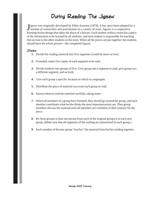### During Reading: The Jigsaw

J igsaw was originally developed by Elliot Aronson (1978). It has since been adapted l<br>number of researchers and practitioners in a variety of ways. Jigsaw is a cooperative Tigsaw was originally developed by Elliot Aronson (1978). It has since been adapted by a learning lesson design that takes the place of a lecture. Each student within a team has a piece of the information to be learned by all students, and each student is responsible for teaching that section to the other students on the team. When all the pieces are put together, the students should have the whole picture—the completed Jigsaw.

### Steps:

- **1.** Divide the reading material into five segments (could be more or less).
- **2.** If needed, make five copies of each segment to be read.
- **3.** Divide students into groups of five. Give group one a segment to read, give group two a different segment, and so forth.
- **4.** Give each group a specific location in which to congregate.
- **5.** Distribute the piece of material you want each group to read.
- **6.** Instruct them to read the material carefully, taking notes.
- **7.** When all members of a group have finished, they should go around the group, and each member contributes what he/she thinks the most important points are. Then group members discuss the material until all members are confident of their mastery for the piece.
- **8.** Re-form groups so that one person from each of the original groups is in each new group. (Make sure that all segments of the reading are represented in each group.)
- **9.** Each member of the new group "teaches" the material from his/her reading segment.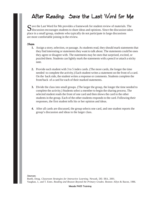### After Reading: Save the Last Word for Me

 $\Gamma$  ave the Last Word for Me provides a framework for student review of materials. The  $\bigcup$  discussion encourages students to share ideas and opinions. Since the discussion takes place in a small group, students who typically do not participate in large discussions are more comfortable joining in the review.

### Steps:

- **1.** Assign a story, selection, or passage. As students read, they should mark statements that they find interesting or statements they want to talk about. The statements could be ones they agree or disagree with. The statements may be ones that surprised, excited, or puzzled them. Students can lightly mark the statements with a pencil or attach a sticky note.
- **2.** Provide each student with 3 to 5 index cards. (The more cards, the longer the time needed to complete the activity.) Each student writes a statement on the front of a card. On the back side, the student writes a response or comments. Students complete the front/back of a card for each of their marked statements.
- **3.** Divide the class into small groups. (The larger the group, the longer the time needed to complete the activity.) Students select a member to begin the sharing process. The selected student reads the front of one card and then shows the card to the other students in the group. Each of the other students responds to the card. Following their responses, the first student tells his or her opinion and ideas.
- **4.** After all cards are discussed, the group selects one card, and one student reports the group's discussion and ideas to the larger class.